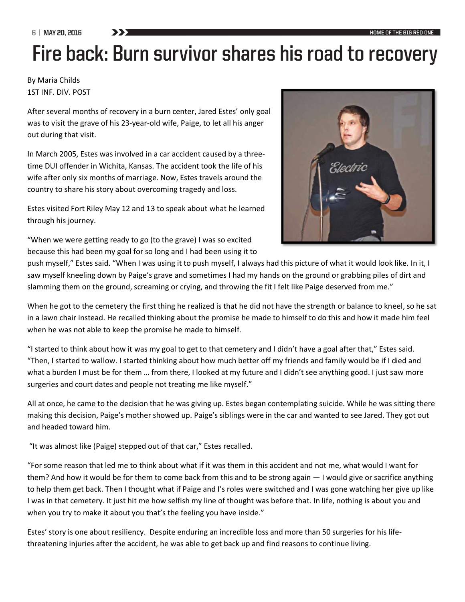6 | MAY 20, 2016

## Fire back: Burn survivor shares his road to recovery

## By Maria Childs 1ST INF. DIV. POST

After several months of recovery in a burn center, Jared Estes' only goal was to visit the grave of his 23-year-old wife, Paige, to let all his anger out during that visit.

In March 2005, Estes was involved in a car accident caused by a threetime DUI offender in Wichita, Kansas. The accident took the life of his wife after only six months of marriage. Now, Estes travels around the country to share his story about overcoming tragedy and loss.

Estes visited Fort Riley May 12 and 13 to speak about what he learned through his journey.



"When we were getting ready to go (to the grave) I was so excited because this had been my goal for so long and I had been using it to

push myself," Estes said. "When I was using it to push myself, I always had this picture of what it would look like. In it, I saw myself kneeling down by Paige's grave and sometimes I had my hands on the ground or grabbing piles of dirt and slamming them on the ground, screaming or crying, and throwing the fit I felt like Paige deserved from me."

When he got to the cemetery the first thing he realized is that he did not have the strength or balance to kneel, so he sat in a lawn chair instead. He recalled thinking about the promise he made to himself to do this and how it made him feel when he was not able to keep the promise he made to himself.

"I started to think about how it was my goal to get to that cemetery and I didn't have a goal after that," Estes said. "Then, I started to wallow. I started thinking about how much better off my friends and family would be if I died and what a burden I must be for them … from there, I looked at my future and I didn't see anything good. I just saw more surgeries and court dates and people not treating me like myself."

All at once, he came to the decision that he was giving up. Estes began contemplating suicide. While he was sitting there making this decision, Paige's mother showed up. Paige's siblings were in the car and wanted to see Jared. They got out and headed toward him.

"It was almost like (Paige) stepped out of that car," Estes recalled.

"For some reason that led me to think about what if it was them in this accident and not me, what would I want for them? And how it would be for them to come back from this and to be strong again — I would give or sacrifice anything to help them get back. Then I thought what if Paige and I's roles were switched and I was gone watching her give up like I was in that cemetery. It just hit me how selfish my line of thought was before that. In life, nothing is about you and when you try to make it about you that's the feeling you have inside."

Estes' story is one about resiliency. Despite enduring an incredible loss and more than 50 surgeries for his lifethreatening injuries after the accident, he was able to get back up and find reasons to continue living.